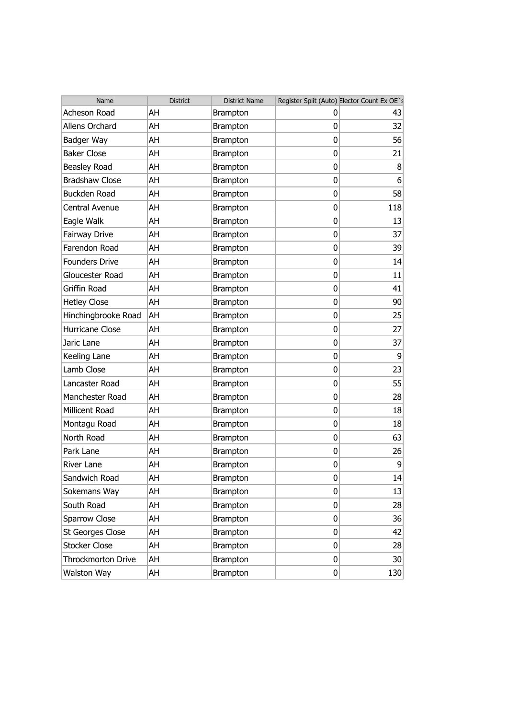| Name                   | District | <b>District Name</b> |                  | Register Split (Auto) Elector Count Ex OE`s |
|------------------------|----------|----------------------|------------------|---------------------------------------------|
| Acheson Road           | AH       | Brampton             | 0                | 43                                          |
| Allens Orchard         | AH       | <b>Brampton</b>      | 0                | 32                                          |
| Badger Way             | AH       | Brampton             | 0                | 56                                          |
| <b>Baker Close</b>     | AH       | Brampton             | 0                | 21                                          |
| Beasley Road           | AH       | <b>Brampton</b>      | 0                | 8                                           |
| <b>Bradshaw Close</b>  | AH       | Brampton             | 0                | 6                                           |
| Buckden Road           | AH       | Brampton             | 0                | 58                                          |
| Central Avenue         | AH       | Brampton             | 0                | 118                                         |
| Eagle Walk             | AH       | Brampton             | 0                | 13                                          |
| Fairway Drive          | AH       | <b>Brampton</b>      | 0                | 37                                          |
| Farendon Road          | AH       | <b>Brampton</b>      | 0                | 39                                          |
| <b>Founders Drive</b>  | AH       | <b>Brampton</b>      | 0                | 14                                          |
| Gloucester Road        | AH       | <b>Brampton</b>      | 0                | 11                                          |
| <b>Griffin Road</b>    | AH       | Brampton             | 0                | 41                                          |
| <b>Hetley Close</b>    | AH       | <b>Brampton</b>      | 0                | 90                                          |
| Hinchingbrooke Road    | AH       | <b>Brampton</b>      | 0                | 25                                          |
| <b>Hurricane Close</b> | AH       | Brampton             | 0                | 27                                          |
| Jaric Lane             | AH       | <b>Brampton</b>      | 0                | 37                                          |
| Keeling Lane           | AH       | <b>Brampton</b>      | 0                | 9                                           |
| Lamb Close             | AH       | <b>Brampton</b>      | 0                | 23                                          |
| Lancaster Road         | AH       | <b>Brampton</b>      | 0                | 55                                          |
| Manchester Road        | AH       | <b>Brampton</b>      | 0                | 28                                          |
| Millicent Road         | AH       | <b>Brampton</b>      | 0                | 18                                          |
| Montagu Road           | AH       | <b>Brampton</b>      | 0                | 18                                          |
| North Road             | AH       | Brampton             | 0                | 63                                          |
| Park Lane              | AH       | <b>Brampton</b>      | 0                | 26                                          |
| River Lane             | AH       | <b>Brampton</b>      | 0                | 9                                           |
| Sandwich Road          | AH       | Brampton             | $\boldsymbol{0}$ | 14                                          |
| Sokemans Way           | AH       | <b>Brampton</b>      | 0                | 13                                          |
| South Road             | AH       | <b>Brampton</b>      | $\overline{0}$   | 28                                          |
| Sparrow Close          | AH       | <b>Brampton</b>      | 0                | 36                                          |
| St Georges Close       | AH       | <b>Brampton</b>      | $\overline{0}$   | 42                                          |
| <b>Stocker Close</b>   | AH       | <b>Brampton</b>      | 0                | 28                                          |
| Throckmorton Drive     | AH       | <b>Brampton</b>      | 0                | 30 <sup>°</sup>                             |
| Walston Way            | AH       | Brampton             | $\overline{0}$   | 130                                         |